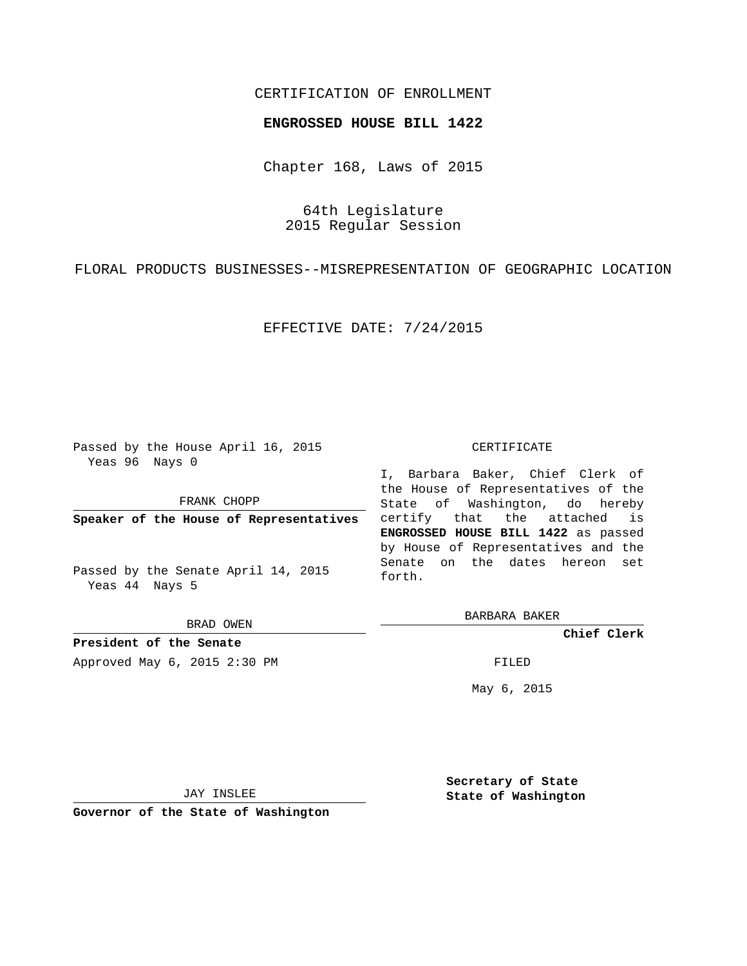# CERTIFICATION OF ENROLLMENT

### **ENGROSSED HOUSE BILL 1422**

Chapter 168, Laws of 2015

64th Legislature 2015 Regular Session

FLORAL PRODUCTS BUSINESSES--MISREPRESENTATION OF GEOGRAPHIC LOCATION

EFFECTIVE DATE: 7/24/2015

Passed by the House April 16, 2015 Yeas 96 Nays 0

FRANK CHOPP

**Speaker of the House of Representatives**

Passed by the Senate April 14, 2015 Yeas 44 Nays 5

BRAD OWEN

**President of the Senate** Approved May 6, 2015 2:30 PM FILED

#### CERTIFICATE

I, Barbara Baker, Chief Clerk of the House of Representatives of the State of Washington, do hereby certify that the attached is **ENGROSSED HOUSE BILL 1422** as passed by House of Representatives and the Senate on the dates hereon set forth.

BARBARA BAKER

**Chief Clerk**

May 6, 2015

JAY INSLEE

**Governor of the State of Washington**

**Secretary of State State of Washington**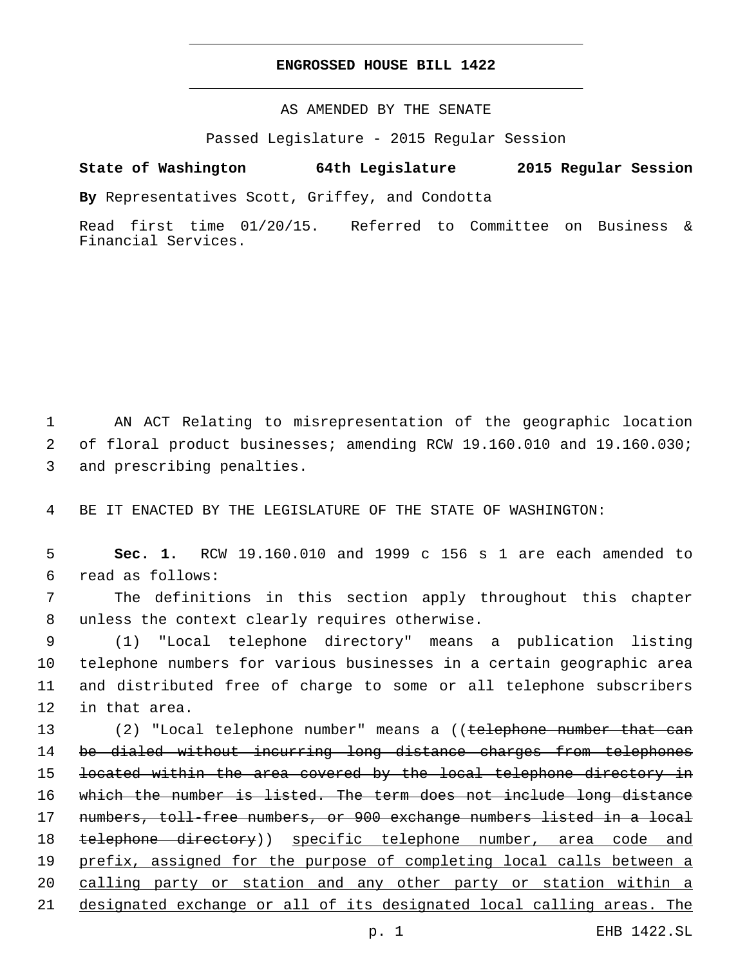## **ENGROSSED HOUSE BILL 1422**

AS AMENDED BY THE SENATE

Passed Legislature - 2015 Regular Session

# **State of Washington 64th Legislature 2015 Regular Session**

**By** Representatives Scott, Griffey, and Condotta

Read first time 01/20/15. Referred to Committee on Business & Financial Services.

1 AN ACT Relating to misrepresentation of the geographic location 2 of floral product businesses; amending RCW 19.160.010 and 19.160.030; 3 and prescribing penalties.

4 BE IT ENACTED BY THE LEGISLATURE OF THE STATE OF WASHINGTON:

5 **Sec. 1.** RCW 19.160.010 and 1999 c 156 s 1 are each amended to read as follows:6

7 The definitions in this section apply throughout this chapter 8 unless the context clearly requires otherwise.

 (1) "Local telephone directory" means a publication listing telephone numbers for various businesses in a certain geographic area and distributed free of charge to some or all telephone subscribers 12 in that area.

13 (2) "Local telephone number" means a ((<del>telephone number that can</del> 14 be dialed without incurring long distance charges from telephones located within the area covered by the local telephone directory in which the number is listed. The term does not include long distance numbers, toll-free numbers, or 900 exchange numbers listed in a local 18 telephone directory)) specific telephone number, area code and prefix, assigned for the purpose of completing local calls between a calling party or station and any other party or station within a designated exchange or all of its designated local calling areas. The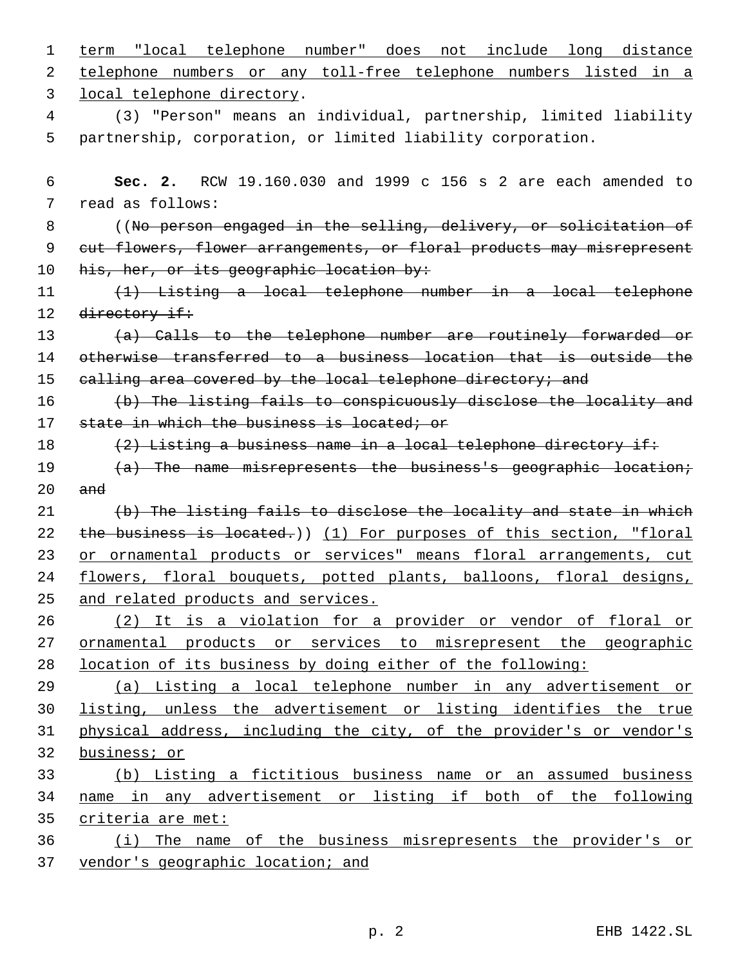| 1  | term "local telephone number" does not include long distance          |
|----|-----------------------------------------------------------------------|
| 2  | telephone numbers or any toll-free telephone numbers listed in a      |
| 3  | local telephone directory.                                            |
| 4  | (3) "Person" means an individual, partnership, limited liability      |
| 5  | partnership, corporation, or limited liability corporation.           |
|    |                                                                       |
| 6  | RCW 19.160.030 and 1999 c 156 s 2 are each amended to<br>Sec. 2.      |
| 7  | read as follows:                                                      |
| 8  | ((No person engaged in the selling, delivery, or solicitation of      |
| 9  | cut flowers, flower arrangements, or floral products may misrepresent |
| 10 | his, her, or its geographic location by:                              |
| 11 | (1) Listing a local telephone number in a local telephone             |
| 12 | directory if:                                                         |
| 13 | (a) Calls to the telephone number are routinely forwarded or          |
| 14 | otherwise transferred to a business location that is outside the      |
| 15 | ealling area covered by the local telephone directory; and            |
| 16 | (b) The listing fails to conspicuously disclose the locality and      |
| 17 | state in which the business is located; or                            |
| 18 | $(2)$ Listing a business name in a local telephone directory if:      |
| 19 | $(a)$ The name misrepresents the business's geographic location;      |
| 20 | and                                                                   |
| 21 | (b) The listing fails to disclose the locality and state in which     |
| 22 | the business is located.)) (1) For purposes of this section, "floral  |
| 23 | or ornamental products or services" means floral arrangements, cut    |
| 24 | flowers, floral bouquets, potted plants, balloons, floral designs,    |
| 25 | and related products and services.                                    |
| 26 | (2) It is a violation for a provider or vendor of floral or           |
| 27 | ornamental products or services to misrepresent the geographic        |
| 28 | location of its business by doing either of the following:            |
| 29 | (a) Listing a local telephone number in any advertisement or          |
| 30 | listing, unless the advertisement or listing identifies the true      |
| 31 | physical address, including the city, of the provider's or vendor's   |
| 32 | business; or                                                          |
| 33 | (b) Listing a fictitious business name or an assumed business         |
| 34 | name in any advertisement or listing if both of the following         |
| 35 | criteria are met:                                                     |
| 36 | (i) The name of the business misrepresents the provider's or          |
| 37 | vendor's geographic location; and                                     |